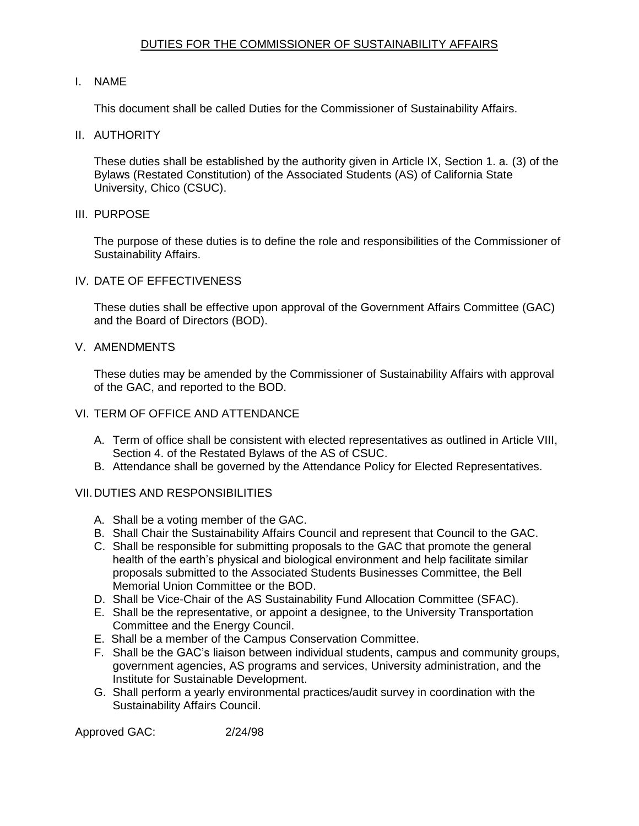# DUTIES FOR THE COMMISSIONER OF SUSTAINABILITY AFFAIRS

## I. NAME

This document shall be called Duties for the Commissioner of Sustainability Affairs.

II. AUTHORITY

 These duties shall be established by the authority given in Article IX, Section 1. a. (3) of the Bylaws (Restated Constitution) of the Associated Students (AS) of California State University, Chico (CSUC).

#### III. PURPOSE

 The purpose of these duties is to define the role and responsibilities of the Commissioner of Sustainability Affairs.

IV. DATE OF EFFECTIVENESS

 These duties shall be effective upon approval of the Government Affairs Committee (GAC) and the Board of Directors (BOD).

V. AMENDMENTS

 These duties may be amended by the Commissioner of Sustainability Affairs with approval of the GAC, and reported to the BOD.

### VI. TERM OF OFFICE AND ATTENDANCE

- A. Term of office shall be consistent with elected representatives as outlined in Article VIII, Section 4. of the Restated Bylaws of the AS of CSUC.
- B. Attendance shall be governed by the Attendance Policy for Elected Representatives.

## VII.DUTIES AND RESPONSIBILITIES

- A. Shall be a voting member of the GAC.
- B. Shall Chair the Sustainability Affairs Council and represent that Council to the GAC.
- C. Shall be responsible for submitting proposals to the GAC that promote the general health of the earth's physical and biological environment and help facilitate similar proposals submitted to the Associated Students Businesses Committee, the Bell Memorial Union Committee or the BOD.
- D. Shall be Vice-Chair of the AS Sustainability Fund Allocation Committee (SFAC).
- E. Shall be the representative, or appoint a designee, to the University Transportation Committee and the Energy Council.
- E. Shall be a member of the Campus Conservation Committee.
- F. Shall be the GAC's liaison between individual students, campus and community groups, government agencies, AS programs and services, University administration, and the Institute for Sustainable Development.
- G. Shall perform a yearly environmental practices/audit survey in coordination with the Sustainability Affairs Council.

Approved GAC: 2/24/98